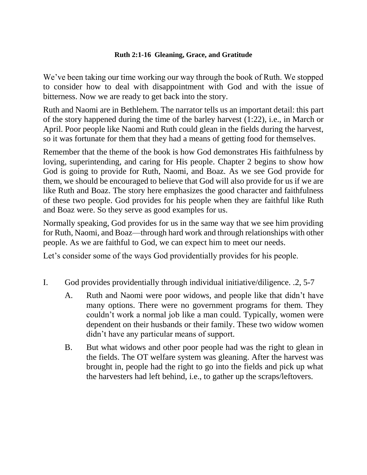## **Ruth 2:1-16 Gleaning, Grace, and Gratitude**

We've been taking our time working our way through the book of Ruth. We stopped to consider how to deal with disappointment with God and with the issue of bitterness. Now we are ready to get back into the story.

Ruth and Naomi are in Bethlehem. The narrator tells us an important detail: this part of the story happened during the time of the barley harvest (1:22), i.e., in March or April. Poor people like Naomi and Ruth could glean in the fields during the harvest, so it was fortunate for them that they had a means of getting food for themselves.

Remember that the theme of the book is how God demonstrates His faithfulness by loving, superintending, and caring for His people. Chapter 2 begins to show how God is going to provide for Ruth, Naomi, and Boaz. As we see God provide for them, we should be encouraged to believe that God will also provide for us if we are like Ruth and Boaz. The story here emphasizes the good character and faithfulness of these two people. God provides for his people when they are faithful like Ruth and Boaz were. So they serve as good examples for us.

Normally speaking, God provides for us in the same way that we see him providing for Ruth, Naomi, and Boaz—through hard work and through relationships with other people. As we are faithful to God, we can expect him to meet our needs.

Let's consider some of the ways God providentially provides for his people.

- I. God provides providentially through individual initiative/diligence. .2, 5-7
	- A. Ruth and Naomi were poor widows, and people like that didn't have many options. There were no government programs for them. They couldn't work a normal job like a man could. Typically, women were dependent on their husbands or their family. These two widow women didn't have any particular means of support.
	- B. But what widows and other poor people had was the right to glean in the fields. The OT welfare system was gleaning. After the harvest was brought in, people had the right to go into the fields and pick up what the harvesters had left behind, i.e., to gather up the scraps/leftovers.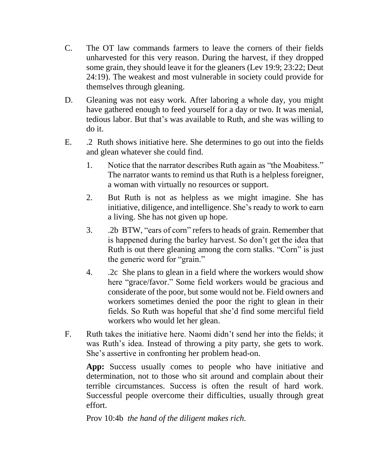- C. The OT law commands farmers to leave the corners of their fields unharvested for this very reason. During the harvest, if they dropped some grain, they should leave it for the gleaners (Lev 19:9; 23:22; Deut 24:19). The weakest and most vulnerable in society could provide for themselves through gleaning.
- D. Gleaning was not easy work. After laboring a whole day, you might have gathered enough to feed yourself for a day or two. It was menial, tedious labor. But that's was available to Ruth, and she was willing to do it.
- E. .2 Ruth shows initiative here. She determines to go out into the fields and glean whatever she could find.
	- 1. Notice that the narrator describes Ruth again as "the Moabitess." The narrator wants to remind us that Ruth is a helpless foreigner, a woman with virtually no resources or support.
	- 2. But Ruth is not as helpless as we might imagine. She has initiative, diligence, and intelligence. She's ready to work to earn a living. She has not given up hope.
	- 3. .2b BTW, "ears of corn" refers to heads of grain. Remember that is happened during the barley harvest. So don't get the idea that Ruth is out there gleaning among the corn stalks. "Corn" is just the generic word for "grain."
	- 4. .2c She plans to glean in a field where the workers would show here "grace/favor." Some field workers would be gracious and considerate of the poor, but some would not be. Field owners and workers sometimes denied the poor the right to glean in their fields. So Ruth was hopeful that she'd find some merciful field workers who would let her glean.
- F. Ruth takes the initiative here. Naomi didn't send her into the fields; it was Ruth's idea. Instead of throwing a pity party, she gets to work. She's assertive in confronting her problem head-on.

App: Success usually comes to people who have initiative and determination, not to those who sit around and complain about their terrible circumstances. Success is often the result of hard work. Successful people overcome their difficulties, usually through great effort.

Prov 10:4b *the hand of the diligent makes rich.*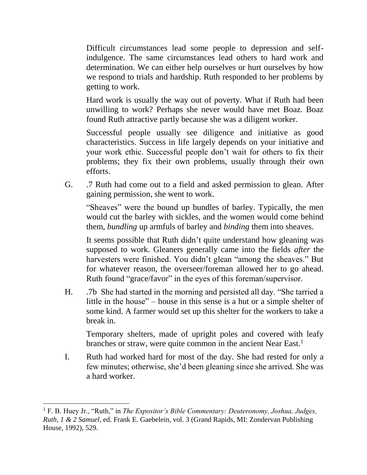Difficult circumstances lead some people to depression and selfindulgence. The same circumstances lead others to hard work and determination. We can either help ourselves or hurt ourselves by how we respond to trials and hardship. Ruth responded to her problems by getting to work.

Hard work is usually the way out of poverty. What if Ruth had been unwilling to work? Perhaps she never would have met Boaz. Boaz found Ruth attractive partly because she was a diligent worker.

Successful people usually see diligence and initiative as good characteristics. Success in life largely depends on your initiative and your work ethic. Successful people don't wait for others to fix their problems; they fix their own problems, usually through their own efforts.

G. .7 Ruth had come out to a field and asked permission to glean. After gaining permission, she went to work.

"Sheaves" were the bound up bundles of barley. Typically, the men would cut the barley with sickles, and the women would come behind them, *bundling* up armfuls of barley and *binding* them into sheaves.

It seems possible that Ruth didn't quite understand how gleaning was supposed to work. Gleaners generally came into the fields *after* the harvesters were finished. You didn't glean "among the sheaves." But for whatever reason, the overseer/foreman allowed her to go ahead. Ruth found "grace/favor" in the eyes of this foreman/supervisor.

H. .7b She had started in the morning and persisted all day. "She tarried a little in the house" – house in this sense is a hut or a simple shelter of some kind. A farmer would set up this shelter for the workers to take a break in.

Temporary shelters, made of upright poles and covered with leafy branches or straw, were quite common in the ancient Near East.<sup>1</sup>

I. Ruth had worked hard for most of the day. She had rested for only a few minutes; otherwise, she'd been gleaning since she arrived. She was a hard worker.

<sup>1</sup> F. B. Huey Jr., "Ruth," in *The Expositor's Bible Commentary: Deuteronomy, Joshua, Judges, Ruth, 1 & 2 Samuel*, ed. Frank E. Gaebelein, vol. 3 (Grand Rapids, MI: Zondervan Publishing House, 1992), 529.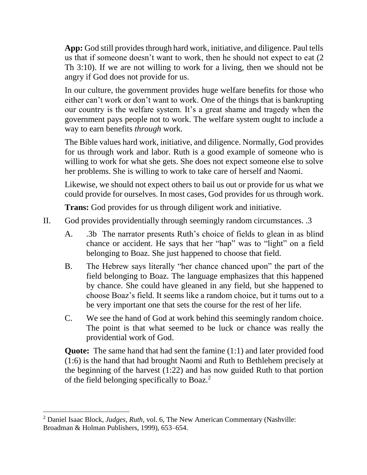**App:** God still provides through hard work, initiative, and diligence. Paul tells us that if someone doesn't want to work, then he should not expect to eat (2 Th 3:10). If we are not willing to work for a living, then we should not be angry if God does not provide for us.

In our culture, the government provides huge welfare benefits for those who either can't work or don't want to work. One of the things that is bankrupting our country is the welfare system. It's a great shame and tragedy when the government pays people not to work. The welfare system ought to include a way to earn benefits *through* work.

The Bible values hard work, initiative, and diligence. Normally, God provides for us through work and labor. Ruth is a good example of someone who is willing to work for what she gets. She does not expect someone else to solve her problems. She is willing to work to take care of herself and Naomi.

Likewise, we should not expect others to bail us out or provide for us what we could provide for ourselves. In most cases, God provides for us through work.

**Trans:** God provides for us through diligent work and initiative.

- II. God provides providentially through seemingly random circumstances. .3
	- A. .3b The narrator presents Ruth's choice of fields to glean in as blind chance or accident. He says that her "hap" was to "light" on a field belonging to Boaz. She just happened to choose that field.
	- B. The Hebrew says literally "her chance chanced upon" the part of the field belonging to Boaz. The language emphasizes that this happened by chance. She could have gleaned in any field, but she happened to choose Boaz's field. It seems like a random choice, but it turns out to a be very important one that sets the course for the rest of her life.
	- C. We see the hand of God at work behind this seemingly random choice. The point is that what seemed to be luck or chance was really the providential work of God.

**Quote:** The same hand that had sent the famine (1:1) and later provided food (1:6) is the hand that had brought Naomi and Ruth to Bethlehem precisely at the beginning of the harvest (1:22) and has now guided Ruth to that portion of the field belonging specifically to Boaz.<sup>2</sup>

<sup>2</sup> Daniel Isaac Block, *Judges, Ruth*, vol. 6, The New American Commentary (Nashville: Broadman & Holman Publishers, 1999), 653–654.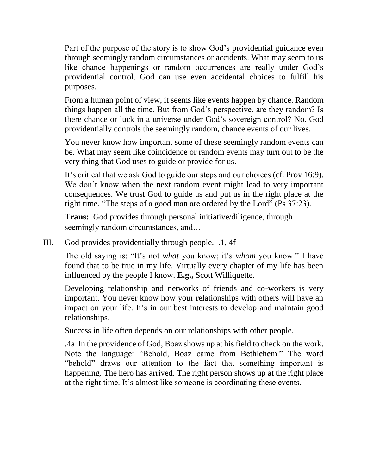Part of the purpose of the story is to show God's providential guidance even through seemingly random circumstances or accidents. What may seem to us like chance happenings or random occurrences are really under God's providential control. God can use even accidental choices to fulfill his purposes.

From a human point of view, it seems like events happen by chance. Random things happen all the time. But from God's perspective, are they random? Is there chance or luck in a universe under God's sovereign control? No. God providentially controls the seemingly random, chance events of our lives.

You never know how important some of these seemingly random events can be. What may seem like coincidence or random events may turn out to be the very thing that God uses to guide or provide for us.

It's critical that we ask God to guide our steps and our choices (cf. Prov 16:9). We don't know when the next random event might lead to very important consequences. We trust God to guide us and put us in the right place at the right time. "The steps of a good man are ordered by the Lord" (Ps 37:23).

**Trans:** God provides through personal initiative/diligence, through seemingly random circumstances, and...

III. God provides providentially through people. .1, 4f

The old saying is: "It's not *what* you know; it's *whom* you know." I have found that to be true in my life. Virtually every chapter of my life has been influenced by the people I know. **E.g.,** Scott Williquette.

Developing relationship and networks of friends and co-workers is very important. You never know how your relationships with others will have an impact on your life. It's in our best interests to develop and maintain good relationships.

Success in life often depends on our relationships with other people.

.4a In the providence of God, Boaz shows up at his field to check on the work. Note the language: "Behold, Boaz came from Bethlehem." The word "behold" draws our attention to the fact that something important is happening. The hero has arrived. The right person shows up at the right place at the right time. It's almost like someone is coordinating these events.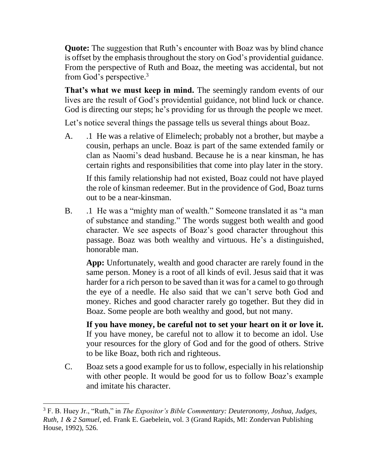**Quote:** The suggestion that Ruth's encounter with Boaz was by blind chance is offset by the emphasis throughout the story on God's providential guidance. From the perspective of Ruth and Boaz, the meeting was accidental, but not from God's perspective.<sup>3</sup>

**That's what we must keep in mind.** The seemingly random events of our lives are the result of God's providential guidance, not blind luck or chance. God is directing our steps; he's providing for us through the people we meet.

Let's notice several things the passage tells us several things about Boaz.

A. .1 He was a relative of Elimelech; probably not a brother, but maybe a cousin, perhaps an uncle. Boaz is part of the same extended family or clan as Naomi's dead husband. Because he is a near kinsman, he has certain rights and responsibilities that come into play later in the story.

If this family relationship had not existed, Boaz could not have played the role of kinsman redeemer. But in the providence of God, Boaz turns out to be a near-kinsman.

B. .1 He was a "mighty man of wealth." Someone translated it as "a man of substance and standing." The words suggest both wealth and good character. We see aspects of Boaz's good character throughout this passage. Boaz was both wealthy and virtuous. He's a distinguished, honorable man.

**App:** Unfortunately, wealth and good character are rarely found in the same person. Money is a root of all kinds of evil. Jesus said that it was harder for a rich person to be saved than it was for a camel to go through the eye of a needle. He also said that we can't serve both God and money. Riches and good character rarely go together. But they did in Boaz. Some people are both wealthy and good, but not many.

**If you have money, be careful not to set your heart on it or love it.** If you have money, be careful not to allow it to become an idol. Use your resources for the glory of God and for the good of others. Strive to be like Boaz, both rich and righteous.

C. Boaz sets a good example for us to follow, especially in his relationship with other people. It would be good for us to follow Boaz's example and imitate his character.

<sup>3</sup> F. B. Huey Jr., "Ruth," in *The Expositor's Bible Commentary: Deuteronomy, Joshua, Judges, Ruth, 1 & 2 Samuel*, ed. Frank E. Gaebelein, vol. 3 (Grand Rapids, MI: Zondervan Publishing House, 1992), 526.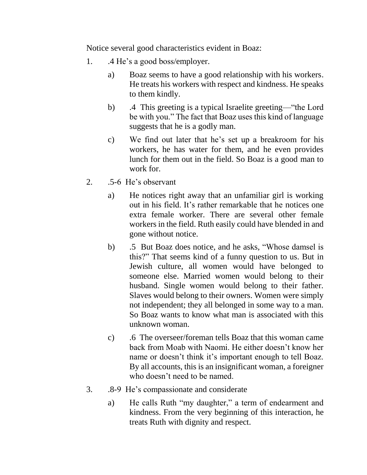Notice several good characteristics evident in Boaz:

- 1. .4 He's a good boss/employer.
	- a) Boaz seems to have a good relationship with his workers. He treats his workers with respect and kindness. He speaks to them kindly.
	- b) .4 This greeting is a typical Israelite greeting—"the Lord be with you." The fact that Boaz uses this kind of language suggests that he is a godly man.
	- c) We find out later that he's set up a breakroom for his workers, he has water for them, and he even provides lunch for them out in the field. So Boaz is a good man to work for.
- 2. .5-6 He's observant
	- a) He notices right away that an unfamiliar girl is working out in his field. It's rather remarkable that he notices one extra female worker. There are several other female workers in the field. Ruth easily could have blended in and gone without notice.
	- b) .5 But Boaz does notice, and he asks, "Whose damsel is this?" That seems kind of a funny question to us. But in Jewish culture, all women would have belonged to someone else. Married women would belong to their husband. Single women would belong to their father. Slaves would belong to their owners. Women were simply not independent; they all belonged in some way to a man. So Boaz wants to know what man is associated with this unknown woman.
	- c) .6 The overseer/foreman tells Boaz that this woman came back from Moab with Naomi. He either doesn't know her name or doesn't think it's important enough to tell Boaz. By all accounts, this is an insignificant woman, a foreigner who doesn't need to be named.
- 3. .8-9 He's compassionate and considerate
	- a) He calls Ruth "my daughter," a term of endearment and kindness. From the very beginning of this interaction, he treats Ruth with dignity and respect.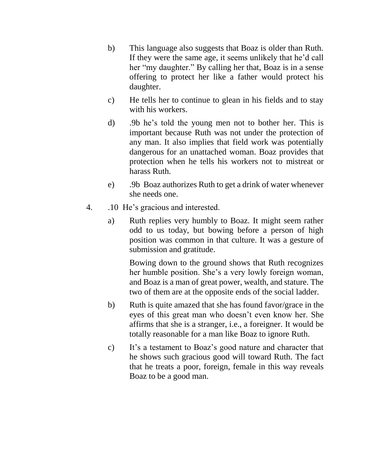- b) This language also suggests that Boaz is older than Ruth. If they were the same age, it seems unlikely that he'd call her "my daughter." By calling her that, Boaz is in a sense offering to protect her like a father would protect his daughter.
- c) He tells her to continue to glean in his fields and to stay with his workers.
- d) .9b he's told the young men not to bother her. This is important because Ruth was not under the protection of any man. It also implies that field work was potentially dangerous for an unattached woman. Boaz provides that protection when he tells his workers not to mistreat or harass Ruth.
- e) .9b Boaz authorizes Ruth to get a drink of water whenever she needs one.
- 4. .10 He's gracious and interested.
	- a) Ruth replies very humbly to Boaz. It might seem rather odd to us today, but bowing before a person of high position was common in that culture. It was a gesture of submission and gratitude.

Bowing down to the ground shows that Ruth recognizes her humble position. She's a very lowly foreign woman, and Boaz is a man of great power, wealth, and stature. The two of them are at the opposite ends of the social ladder.

- b) Ruth is quite amazed that she has found favor/grace in the eyes of this great man who doesn't even know her. She affirms that she is a stranger, i.e., a foreigner. It would be totally reasonable for a man like Boaz to ignore Ruth.
- c) It's a testament to Boaz's good nature and character that he shows such gracious good will toward Ruth. The fact that he treats a poor, foreign, female in this way reveals Boaz to be a good man.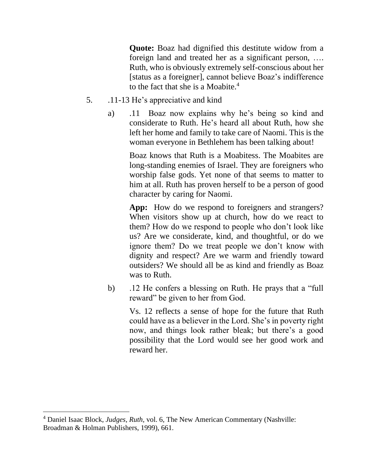**Quote:** Boaz had dignified this destitute widow from a foreign land and treated her as a significant person, …. Ruth, who is obviously extremely self-conscious about her [status as a foreigner], cannot believe Boaz's indifference to the fact that she is a Moabite.<sup>4</sup>

- 5. .11-13 He's appreciative and kind
	- a) .11 Boaz now explains why he's being so kind and considerate to Ruth. He's heard all about Ruth, how she left her home and family to take care of Naomi. This is the woman everyone in Bethlehem has been talking about!

Boaz knows that Ruth is a Moabitess. The Moabites are long-standing enemies of Israel. They are foreigners who worship false gods. Yet none of that seems to matter to him at all. Ruth has proven herself to be a person of good character by caring for Naomi.

App: How do we respond to foreigners and strangers? When visitors show up at church, how do we react to them? How do we respond to people who don't look like us? Are we considerate, kind, and thoughtful, or do we ignore them? Do we treat people we don't know with dignity and respect? Are we warm and friendly toward outsiders? We should all be as kind and friendly as Boaz was to Ruth.

b) .12 He confers a blessing on Ruth. He prays that a "full reward" be given to her from God.

> Vs. 12 reflects a sense of hope for the future that Ruth could have as a believer in the Lord. She's in poverty right now, and things look rather bleak; but there's a good possibility that the Lord would see her good work and reward her.

<sup>4</sup> Daniel Isaac Block, *Judges, Ruth*, vol. 6, The New American Commentary (Nashville: Broadman & Holman Publishers, 1999), 661.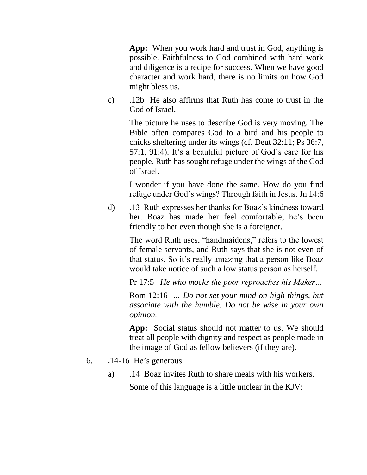**App:** When you work hard and trust in God, anything is possible. Faithfulness to God combined with hard work and diligence is a recipe for success. When we have good character and work hard, there is no limits on how God might bless us.

c) .12b He also affirms that Ruth has come to trust in the God of Israel.

The picture he uses to describe God is very moving. The Bible often compares God to a bird and his people to chicks sheltering under its wings (cf. Deut 32:11; Ps 36:7, 57:1, 91:4). It's a beautiful picture of God's care for his people. Ruth has sought refuge under the wings of the God of Israel.

I wonder if you have done the same. How do you find refuge under God's wings? Through faith in Jesus. Jn 14:6

d) .13 Ruth expresses her thanks for Boaz's kindness toward her. Boaz has made her feel comfortable; he's been friendly to her even though she is a foreigner.

> The word Ruth uses, "handmaidens," refers to the lowest of female servants, and Ruth says that she is not even of that status. So it's really amazing that a person like Boaz would take notice of such a low status person as herself.

> Pr 17:5 *He who mocks the poor reproaches his Maker…*

Rom 12:16 *… Do not set your mind on high things, but associate with the humble. Do not be wise in your own opinion.*

**App:** Social status should not matter to us. We should treat all people with dignity and respect as people made in the image of God as fellow believers (if they are).

- 6. **.**14-16 He's generous
	- a) .14 Boaz invites Ruth to share meals with his workers.

Some of this language is a little unclear in the KJV: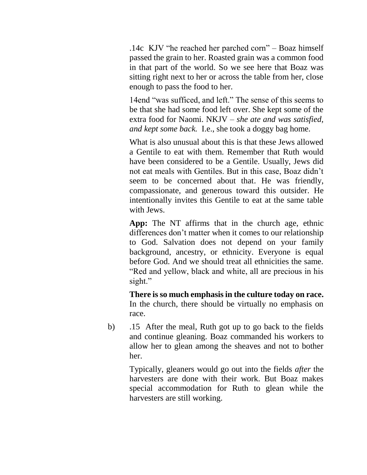.14c KJV "he reached her parched corn" – Boaz himself passed the grain to her. Roasted grain was a common food in that part of the world. So we see here that Boaz was sitting right next to her or across the table from her, close enough to pass the food to her.

14end "was sufficed, and left." The sense of this seems to be that she had some food left over. She kept some of the extra food for Naomi. NKJV *– she ate and was satisfied, and kept some back.* I.e., she took a doggy bag home.

What is also unusual about this is that these Jews allowed a Gentile to eat with them. Remember that Ruth would have been considered to be a Gentile. Usually, Jews did not eat meals with Gentiles. But in this case, Boaz didn't seem to be concerned about that. He was friendly, compassionate, and generous toward this outsider. He intentionally invites this Gentile to eat at the same table with Jews.

**App:** The NT affirms that in the church age, ethnic differences don't matter when it comes to our relationship to God. Salvation does not depend on your family background, ancestry, or ethnicity. Everyone is equal before God. And we should treat all ethnicities the same. "Red and yellow, black and white, all are precious in his sight."

**There is so much emphasis in the culture today on race.** In the church, there should be virtually no emphasis on race.

b) .15 After the meal, Ruth got up to go back to the fields and continue gleaning. Boaz commanded his workers to allow her to glean among the sheaves and not to bother her.

> Typically, gleaners would go out into the fields *after* the harvesters are done with their work. But Boaz makes special accommodation for Ruth to glean while the harvesters are still working.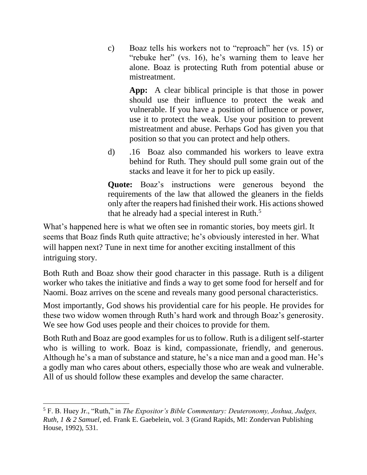c) Boaz tells his workers not to "reproach" her (vs. 15) or "rebuke her" (vs. 16), he's warning them to leave her alone. Boaz is protecting Ruth from potential abuse or mistreatment.

**App:** A clear biblical principle is that those in power should use their influence to protect the weak and vulnerable. If you have a position of influence or power, use it to protect the weak. Use your position to prevent mistreatment and abuse. Perhaps God has given you that position so that you can protect and help others.

d) .16 Boaz also commanded his workers to leave extra behind for Ruth. They should pull some grain out of the stacks and leave it for her to pick up easily.

**Quote:** Boaz's instructions were generous beyond the requirements of the law that allowed the gleaners in the fields only after the reapers had finished their work. His actions showed that he already had a special interest in Ruth.<sup>5</sup>

What's happened here is what we often see in romantic stories, boy meets girl. It seems that Boaz finds Ruth quite attractive; he's obviously interested in her. What will happen next? Tune in next time for another exciting installment of this intriguing story.

Both Ruth and Boaz show their good character in this passage. Ruth is a diligent worker who takes the initiative and finds a way to get some food for herself and for Naomi. Boaz arrives on the scene and reveals many good personal characteristics.

Most importantly, God shows his providential care for his people. He provides for these two widow women through Ruth's hard work and through Boaz's generosity. We see how God uses people and their choices to provide for them.

Both Ruth and Boaz are good examples for us to follow. Ruth is a diligent self-starter who is willing to work. Boaz is kind, compassionate, friendly, and generous. Although he's a man of substance and stature, he's a nice man and a good man. He's a godly man who cares about others, especially those who are weak and vulnerable. All of us should follow these examples and develop the same character.

<sup>5</sup> F. B. Huey Jr., "Ruth," in *The Expositor's Bible Commentary: Deuteronomy, Joshua, Judges, Ruth, 1 & 2 Samuel*, ed. Frank E. Gaebelein, vol. 3 (Grand Rapids, MI: Zondervan Publishing House, 1992), 531.